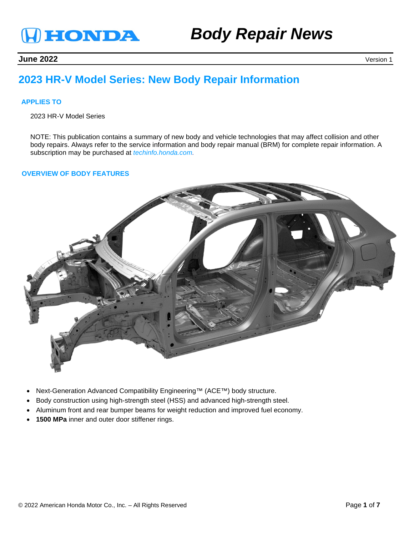

# *Body Repair News*

**June 2022** Version 1

# **2023 HR-V Model Series: New Body Repair Information**

## **APPLIES TO**

2023 HR-V Model Series

NOTE: This publication contains a summary of new body and vehicle technologies that may affect collision and other body repairs. Always refer to the service information and body repair manual (BRM) for complete repair information. A subscription may be purchased at *techinfo.honda.com.*

#### **OVERVIEW OF BODY FEATURES**



- Next-Generation Advanced Compatibility Engineering™ (ACE™) body structure.
- Body construction using high-strength steel (HSS) and advanced high-strength steel.
- Aluminum front and rear bumper beams for weight reduction and improved fuel economy.
- **1500 MPa** inner and outer door stiffener rings.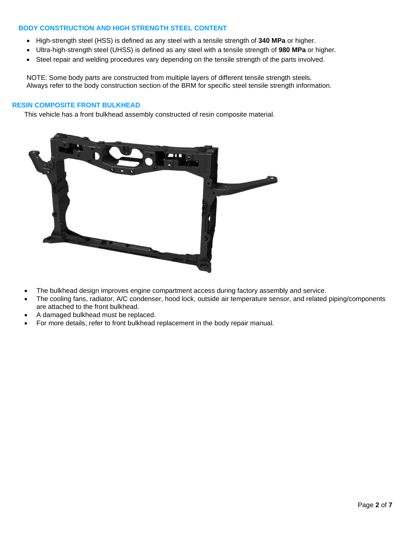# **BODY CONSTRUCTION AND HIGH STRENGTH STEEL CONTENT**

- High-strength steel (HSS) is defined as any steel with a tensile strength of **340 MPa** or higher.
- Ultra-high-strength steel (UHSS) is defined as any steel with a tensile strength of **980 MPa** or higher.
- Steel repair and welding procedures vary depending on the tensile strength of the parts involved.

NOTE: Some body parts are constructed from multiple layers of different tensile strength steels. Always refer to the body construction section of the BRM for specific steel tensile strength information.

#### **RESIN COMPOSITE FRONT BULKHEAD**

This vehicle has a front bulkhead assembly constructed of resin composite material.



- The bulkhead design improves engine compartment access during factory assembly and service.
- The cooling fans, radiator, A/C condenser, hood lock, outside air temperature sensor, and related piping/components are attached to the front bulkhead.
- A damaged bulkhead must be replaced.
- For more details, refer to front bulkhead replacement in the body repair manual.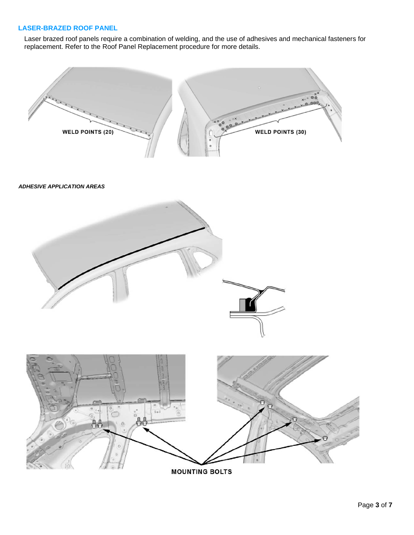## **LASER-BRAZED ROOF PANEL**

Laser brazed roof panels require a combination of welding, and the use of adhesives and mechanical fasteners for replacement. Refer to the Roof Panel Replacement procedure for more details.



**MOUNTING BOLTS**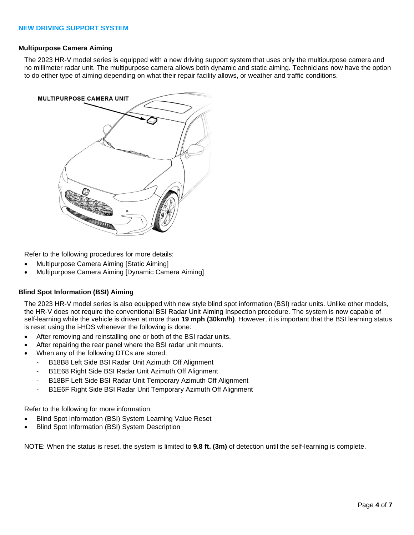#### **Multipurpose Camera Aiming**

The 2023 HR-V model series is equipped with a new driving support system that uses only the multipurpose camera and no millimeter radar unit. The multipurpose camera allows both dynamic and static aiming. Technicians now have the option to do either type of aiming depending on what their repair facility allows, or weather and traffic conditions.



Refer to the following procedures for more details:

- Multipurpose Camera Aiming [Static Aiming]
- Multipurpose Camera Aiming [Dynamic Camera Aiming]

#### **Blind Spot Information (BSI) Aiming**

The 2023 HR-V model series is also equipped with new style blind spot information (BSI) radar units. Unlike other models, the HR-V does not require the conventional BSI Radar Unit Aiming Inspection procedure. The system is now capable of self-learning while the vehicle is driven at more than **19 mph (30km/h)**. However, it is important that the BSI learning status is reset using the i-HDS whenever the following is done:

- After removing and reinstalling one or both of the BSI radar units.
- After repairing the rear panel where the BSI radar unit mounts.
- When any of the following DTCs are stored:
	- B18B8 Left Side BSI Radar Unit Azimuth Off Alignment
	- B1E68 Right Side BSI Radar Unit Azimuth Off Alignment
	- B18BF Left Side BSI Radar Unit Temporary Azimuth Off Alignment
	- B1E6F Right Side BSI Radar Unit Temporary Azimuth Off Alignment

Refer to the following for more information:

- Blind Spot Information (BSI) System Learning Value Reset
- Blind Spot Information (BSI) System Description

NOTE: When the status is reset, the system is limited to **9.8 ft. (3m)** of detection until the self-learning is complete.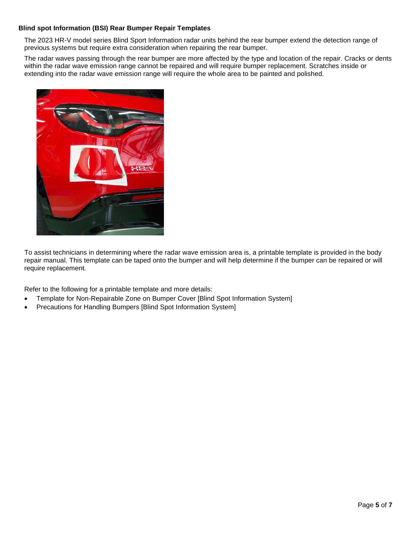# **Blind spot Information (BSI) Rear Bumper Repair Templates**

The 2023 HR-V model series Blind Sport Information radar units behind the rear bumper extend the detection range of previous systems but require extra consideration when repairing the rear bumper.

The radar waves passing through the rear bumper are more affected by the type and location of the repair. Cracks or dents within the radar wave emission range cannot be repaired and will require bumper replacement. Scratches inside or extending into the radar wave emission range will require the whole area to be painted and polished.



To assist technicians in determining where the radar wave emission area is, a printable template is provided in the body repair manual. This template can be taped onto the bumper and will help determine if the bumper can be repaired or will require replacement.

Refer to the following for a printable template and more details:

- Template for Non-Repairable Zone on Bumper Cover [Blind Spot Information System]
- Precautions for Handling Bumpers [Blind Spot Information System]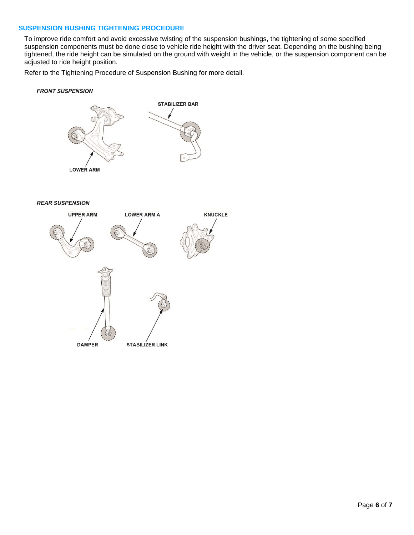#### **SUSPENSION BUSHING TIGHTENING PROCEDURE**

To improve ride comfort and avoid excessive twisting of the suspension bushings, the tightening of some specified suspension components must be done close to vehicle ride height with the driver seat. Depending on the bushing being tightened, the ride height can be simulated on the ground with weight in the vehicle, or the suspension component can be adjusted to ride height position.

Refer to the Tightening Procedure of Suspension Bushing for more detail.

#### **FRONT SUSPENSION**



**REAR SUSPENSION**